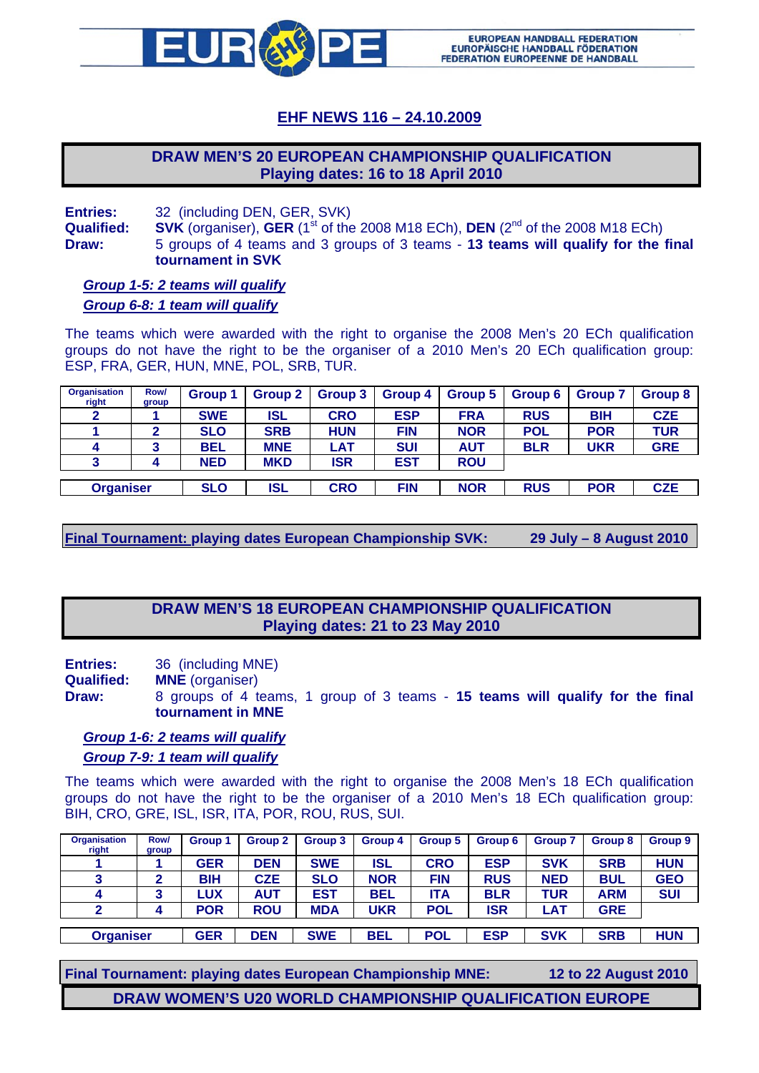

# **EHF NEWS 116 – 24.10.2009**

# **DRAW MEN'S 20 EUROPEAN CHAMPIONSHIP QUALIFICATION Playing dates: 16 to 18 April 2010**

**Entries:** 32 (including DEN, GER, SVK)

**Qualified:** SVK (organiser), **GER** (1<sup>st</sup> of the 2008 M18 ECh), **DEN** (2<sup>nd</sup> of the 2008 M18 ECh) **Draw:** 5 groups of 4 teams and 3 groups of 3 teams - **13 teams will qualify for the final tournament in SVK**

*Group 1-5: 2 teams will qualify Group 6-8: 1 team will qualify*

The teams which were awarded with the right to organise the 2008 Men's 20 ECh qualification groups do not have the right to be the organiser of a 2010 Men's 20 ECh qualification group: ESP, FRA, GER, HUN, MNE, POL, SRB, TUR.

| Row/<br>group    | Group 1    | Group 2    | Group 3    | Group 4    | Group 5    | Group 6    | <b>Group 7</b> | Group 8    |
|------------------|------------|------------|------------|------------|------------|------------|----------------|------------|
|                  | <b>SWE</b> | ISL        | <b>CRO</b> | <b>ESP</b> | <b>FRA</b> | <b>RUS</b> | <b>BIH</b>     | <b>CZE</b> |
| 2                | <b>SLO</b> | <b>SRB</b> | <b>HUN</b> | <b>FIN</b> | <b>NOR</b> | <b>POL</b> | <b>POR</b>     | TUR        |
|                  | <b>BEL</b> | <b>MNE</b> | LAT        | <b>SUI</b> | <b>AUT</b> | <b>BLR</b> | <b>UKR</b>     | <b>GRE</b> |
|                  | <b>NED</b> | <b>MKD</b> | <b>ISR</b> | <b>EST</b> | <b>ROU</b> |            |                |            |
|                  |            |            |            |            |            |            |                |            |
| <b>Organiser</b> |            | <b>ISL</b> | <b>CRO</b> | <b>FIN</b> | <b>NOR</b> | <b>RUS</b> | <b>POR</b>     | <b>CZE</b> |
|                  |            | <b>SLO</b> |            |            |            |            |                |            |

**Final Tournament: playing dates European Championship SVK: 29 July – 8 August 2010** 

# **DRAW MEN'S 18 EUROPEAN CHAMPIONSHIP QUALIFICATION Playing dates: 21 to 23 May 2010**

**Entries:** 36 (including MNE)

**Qualified: MNE** (organiser)

**Draw:** 8 groups of 4 teams, 1 group of 3 teams - **15 teams will qualify for the final tournament in MNE**

#### *Group 1-6: 2 teams will qualify Group 7-9: 1 team will qualify*

The teams which were awarded with the right to organise the 2008 Men's 18 ECh qualification groups do not have the right to be the organiser of a 2010 Men's 18 ECh qualification group: BIH, CRO, GRE, ISL, ISR, ITA, POR, ROU, RUS, SUI.

| <b>Organisation</b><br>right | Row/<br>group | <b>Group 1</b> | Group 2    | Group 3    | Group 4    | Group 5    | Group 6    | <b>Group 7</b> | Group 8    | Group <sub>9</sub> |
|------------------------------|---------------|----------------|------------|------------|------------|------------|------------|----------------|------------|--------------------|
|                              |               | <b>GER</b>     | <b>DEN</b> | <b>SWE</b> | ISL        | <b>CRO</b> | <b>ESP</b> | <b>SVK</b>     | <b>SRB</b> | <b>HUN</b>         |
| o<br>J                       |               | <b>BIH</b>     | <b>CZE</b> | <b>SLO</b> | <b>NOR</b> | <b>FIN</b> | <b>RUS</b> | <b>NED</b>     | <b>BUL</b> | <b>GEO</b>         |
| 4                            | 3             | <b>LUX</b>     | <b>AUT</b> | <b>EST</b> | <b>BEL</b> | ITA        | <b>BLR</b> | TUR            | <b>ARM</b> | <b>SUI</b>         |
| າ                            |               | <b>POR</b>     | <b>ROU</b> | <b>MDA</b> | UKR        | <b>POL</b> | ISR        | LAT            | <b>GRE</b> |                    |
| <b>Organiser</b>             |               | <b>GER</b>     | <b>DEN</b> | <b>SWE</b> | <b>BEL</b> | <b>POL</b> | <b>ESP</b> | <b>SVK</b>     | <b>SRB</b> | <b>HUN</b>         |

**Final Tournament: playing dates European Championship MNE: 12 to 22 August 2010** 

**DRAW WOMEN'S U20 WORLD CHAMPIONSHIP QUALIFICATION EUROPE**